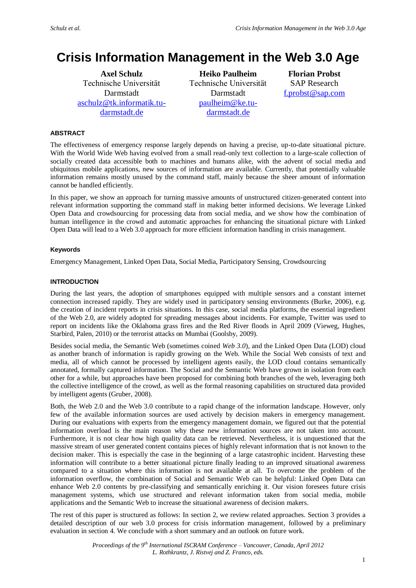# **Crisis Information Management in the Web 3.0 Age**

**Axel Schulz** Technische Universität Darmstadt [aschulz@tk.informatik.tu](mailto:aschulz@tk.informatik.tu-darmstadt.de)[darmstadt.de](mailto:aschulz@tk.informatik.tu-darmstadt.de)

**Heiko Paulheim** Technische Universität Darmstadt [paulheim@ke.tu](mailto:paulheim@ke.tu-darmstadt.de)[darmstadt.de](mailto:paulheim@ke.tu-darmstadt.de)

**Florian Probst** SAP Research [f.probst@sap.com](mailto:f.probst@sap.com)

# **ABSTRACT**

The effectiveness of emergency response largely depends on having a precise, up-to-date situational picture. With the World Wide Web having evolved from a small read-only text collection to a large-scale collection of socially created data accessible both to machines and humans alike, with the advent of social media and ubiquitous mobile applications, new sources of information are available. Currently, that potentially valuable information remains mostly unused by the command staff, mainly because the sheer amount of information cannot be handled efficiently.

In this paper, we show an approach for turning massive amounts of unstructured citizen-generated content into relevant information supporting the command staff in making better informed decisions. We leverage Linked Open Data and crowdsourcing for processing data from social media, and we show how the combination of human intelligence in the crowd and automatic approaches for enhancing the situational picture with Linked Open Data will lead to a Web 3.0 approach for more efficient information handling in crisis management.

# **Keywords**

Emergency Management, Linked Open Data, Social Media, Participatory Sensing, Crowdsourcing

# **INTRODUCTION**

During the last years, the adoption of smartphones equipped with multiple sensors and a constant internet connection increased rapidly. They are widely used in participatory sensing environments (Burke, 2006), e.g. the creation of incident reports in crisis situations. In this case, social media platforms, the essential ingredient of the Web 2.0, are widely adopted for spreading messages about incidents. For example, Twitter was used to report on incidents like the Oklahoma grass fires and the Red River floods in April 2009 (Vieweg, Hughes, Starbird, Palen, 2010) or the terrorist attacks on Mumbai (Goolsby, 2009).

Besides social media, the Semantic Web (sometimes coined *Web 3.0*), and the Linked Open Data (LOD) cloud as another branch of information is rapidly growing on the Web. While the Social Web consists of text and media, all of which cannot be processed by intelligent agents easily, the LOD cloud contains semantically annotated, formally captured information. The Social and the Semantic Web have grown in isolation from each other for a while, but approaches have been proposed for combining both branches of the web, leveraging both the collective intelligence of the crowd, as well as the formal reasoning capabilities on structured data provided by intelligent agents (Gruber, 2008).

Both, the Web 2.0 and the Web 3.0 contribute to a rapid change of the information landscape. However, only few of the available information sources are used actively by decision makers in emergency management. During our evaluations with experts from the emergency management domain, we figured out that the potential information overload is the main reason why these new information sources are not taken into account. Furthermore, it is not clear how high quality data can be retrieved. Nevertheless, it is unquestioned that the massive stream of user generated content contains pieces of highly relevant information that is not known to the decision maker. This is especially the case in the beginning of a large catastrophic incident. Harvesting these information will contribute to a better situational picture finally leading to an improved situational awareness compared to a situation where this information is not available at all. To overcome the problem of the information overflow, the combination of Social and Semantic Web can be helpful: Linked Open Data can enhance Web 2.0 contents by pre-classifying and semantically enriching it. Our vision foresees future crisis management systems, which use structured and relevant information taken from social media, mobile applications and the Semantic Web to increase the situational awareness of decision makers.

The rest of this paper is structured as follows: In section 2, we review related approaches. Section 3 provides a detailed description of our web 3.0 process for crisis information management, followed by a preliminary evaluation in section 4. We conclude with a short summary and an outlook on future work.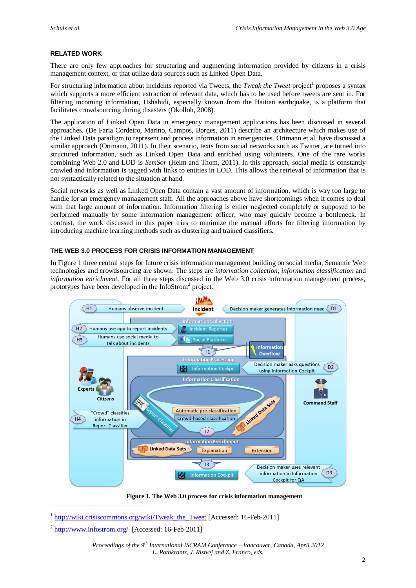## **RELATED WORK**

There are only few approaches for structuring and augmenting information provided by citizens in a crisis management context, or that utilize data sources such as Linked Open Data.

For structuring information about incidents reported via Tweets, the *Tweak the Tweet* project<sup>1</sup> proposes a syntax which supports a more efficient extraction of relevant data, which has to be used before tweets are sent in. For filtering incoming information, Ushahidi, especially known from the Haitian earthquake, is a platform that facilitates crowdsourcing during disasters (Okolloh, 2008).

The application of Linked Open Data in emergency management applications has been discussed in several approaches. (De Faria Cordeiro, Marino, Campos, Borges, 2011) describe an architecture which makes use of the Linked Data paradigm to represent and process information in emergencies. Ortmann et al. have discussed a similar approach (Ortmann, 2011). In their scenario, texts from social networks such as Twitter, are turned into structured information, such as Linked Open Data and enriched using volunteers. One of the rare works combining Web 2.0 and LOD is *SemSor* (Heim and Thom, 2011). In this approach, social media is constantly crawled and information is tagged with links to entities in LOD. This allows the retrieval of information that is not syntactically related to the situation at hand.

Social networks as well as Linked Open Data contain a vast amount of information, which is way too large to handle for an emergency management staff. All the approaches above have shortcomings when it comes to deal with that large amount of information. Information filtering is either neglected completely or supposed to be performed manually by some information management officer, who may quickly become a bottleneck. In contrast, the work discussed in this paper tries to minimize the manual efforts for filtering information by introducing machine learning methods such as clustering and trained classifiers.

### **THE WEB 3.0 PROCESS FOR CRISIS INFORMATION MANAGEMENT**

In [Figure 1](#page-1-0) three central steps for future crisis information management building on social media, Semantic Web technologies and crowdsourcing are shown. The steps are *information collection, information classification* and *information enrichment*. For all three steps discussed in the Web 3.0 crisis information management process, prototypes have been developed in the InfoStrom<sup>2</sup> project.



**Figure 1. The Web 3.0 process for crisis information management**

<span id="page-1-0"></span>-

<sup>&</sup>lt;sup>1</sup> http://wiki.crisiscommons.org/wiki/Tweak the Tweet [Accessed: 16-Feb-2011]

 $2 \frac{\text{http://www.infostrom.org/}{\text{16-Feb-2011}}$  $2 \frac{\text{http://www.infostrom.org/}{\text{16-Feb-2011}}$  $2 \frac{\text{http://www.infostrom.org/}{\text{16-Feb-2011}}$  [Accessed: 16-Feb-2011]

*Proceedings of the 9th International ISCRAM Conference – Vancouver, Canada, April 2012 L. Rothkrantz, J. Ristvej and Z. Franco, eds.*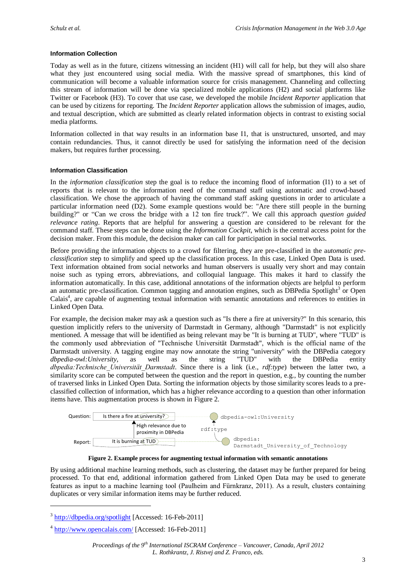## **Information Collection**

Today as well as in the future, citizens witnessing an incident (H1) will call for help, but they will also share what they just encountered using social media. With the massive spread of smartphones, this kind of communication will become a valuable information source for crisis management. Channeling and collecting this stream of information will be done via specialized mobile applications (H2) and social platforms like Twitter or Facebook (H3). To cover that use case, we developed the mobile *Incident Reporter* application that can be used by citizens for reporting. The *Incident Reporter* application allows the submission of images, audio, and textual description, which are submitted as clearly related information objects in contrast to existing social media platforms.

Information collected in that way results in an information base I1, that is unstructured, unsorted, and may contain redundancies. Thus, it cannot directly be used for satisfying the information need of the decision makers, but requires further processing.

### **Information Classification**

In the *information classification* step the goal is to reduce the incoming flood of information (I1) to a set of reports that is relevant to the information need of the command staff using automatic and crowd-based classification. We chose the approach of having the command staff asking questions in order to articulate a particular information need (D2). Some example questions would be: "Are there still people in the burning building?" or "Can we cross the bridge with a 12 ton fire truck?". We call this approach *question guided relevance rating*. Reports that are helpful for answering a question are considered to be relevant for the command staff. These steps can be done using the *Information Cockpit*, which is the central access point for the decision maker. From this module, the decision maker can call for participation in social networks.

Before providing the information objects to a crowd for filtering, they are pre-classified in the a*utomatic preclassification* step to simplify and speed up the classification process. In this case, Linked Open Data is used. Text information obtained from social networks and human observers is usually very short and may contain noise such as typing errors, abbreviations, and colloquial language. This makes it hard to classify the information automatically. In this case, additional annotations of the information objects are helpful to perform an automatic pre-classification. Common tagging and annotation engines, such as DBPedia Spotlight<sup>3</sup> or Open Calais<sup>4</sup>, are capable of augmenting textual information with semantic annotations and references to entities in Linked Open Data.

For example, the decision maker may ask a question such as "Is there a fire at university?" In this scenario, this question implicitly refers to the university of Darmstadt in Germany, although "Darmstadt" is not explicitly mentioned. A message that will be identified as being relevant may be "It is burning at TUD", where "TUD" is the commonly used abbreviation of "Technische Universität Darmstadt", which is the official name of the Darmstadt university. A tagging engine may now annotate the string "university" with the DBPedia category *dbpedia-owl:University*, as well as the string "TUD" with the DBPedia entity *dbpedia:Technische\_Universität\_Darmstadt*. Since there is a link (i.e., *rdf:type*) between the latter two, a similarity score can be computed between the question and the report in question, e.g., by counting the number of traversed links in Linked Open Data. Sorting the information objects by those similarity scores leads to a preclassified collection of information, which has a higher relevance according to a question than other information items have. This augmentation process is shown in [Figure 2.](#page-2-0)





<span id="page-2-0"></span>By using additional machine learning methods, such as clustering, the dataset may be further prepared for being processed. To that end, additional information gathered from Linked Open Data may be used to generate features as input to a machine learning tool (Paulheim and Fürnkranz, 2011). As a result, clusters containing duplicates or very similar information items may be further reduced.

-

<sup>&</sup>lt;sup>3</sup> <http://dbpedia.org/spotlight> [Accessed: 16-Feb-2011]

<sup>&</sup>lt;sup>4</sup> <http://www.opencalais.com/> [Accessed: 16-Feb-2011]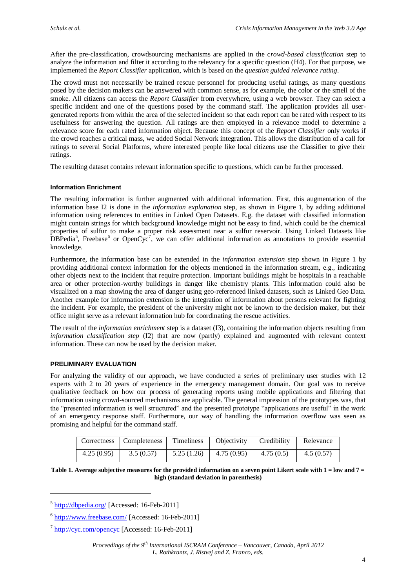After the pre-classification, crowdsourcing mechanisms are applied in the c*rowd-based classification* step to analyze the information and filter it according to the relevancy for a specific question (H4). For that purpose, we implemented the *Report Classifier* application, which is based on the *question guided relevance rating*.

The crowd must not necessarily be trained rescue personnel for producing useful ratings, as many questions posed by the decision makers can be answered with common sense, as for example, the color or the smell of the smoke. All citizens can access the *Report Classifier* from everywhere, using a web browser. They can select a specific incident and one of the questions posed by the command staff. The application provides all usergenerated reports from within the area of the selected incident so that each report can be rated with respect to its usefulness for answering the question. All ratings are then employed in a relevance model to determine a relevance score for each rated information object. Because this concept of the *Report Classifier* only works if the crowd reaches a critical mass, we added Social Network integration. This allows the distribution of a call for ratings to several Social Platforms, where interested people like local citizens use the Classifier to give their ratings.

The resulting dataset contains relevant information specific to questions, which can be further processed.

#### **Information Enrichment**

The resulting information is further augmented with additional information. First, this augmentation of the information base I2 is done in the *information explanation* step, as shown in [Figure 1,](#page-1-0) by adding additional information using references to entities in Linked Open Datasets. E.g. the dataset with classified information might contain strings for which background knowledge might not be easy to find, which could be the chemical properties of sulfur to make a proper risk assessment near a sulfur reservoir. Using Linked Datasets like  $\overline{DBPedia}^5$ , Freebase<sup>6</sup> or OpenCyc<sup>7</sup>, we can offer additional information as annotations to provide essential knowledge.

Furthermore, the information base can be extended in the *information extension* step shown in Figure 1 by providing additional context information for the objects mentioned in the information stream, e.g., indicating other objects next to the incident that require protection. Important buildings might be hospitals in a reachable area or other protection-worthy buildings in danger like chemistry plants. This information could also be visualized on a map showing the area of danger using geo-referenced linked datasets, such as Linked Geo Data. Another example for information extension is the integration of information about persons relevant for fighting the incident. For example, the president of the university might not be known to the decision maker, but their office might serve as a relevant information hub for coordinating the rescue activities.

The result of the *information enrichment* step is a dataset (I3), containing the information objects resulting from *information classification step* (I2) that are now (partly) explained and augmented with relevant context information. These can now be used by the decision maker.

#### **PRELIMINARY EVALUATION**

For analyzing the validity of our approach, we have conducted a series of preliminary user studies with 12 experts with 2 to 20 years of experience in the emergency management domain. Our goal was to receive qualitative feedback on how our process of generating reports using mobile applications and filtering that information using crowd-sourced mechanisms are applicable. The general impression of the prototypes was, that the "presented information is well structured" and the presented prototype "applications are useful" in the work of an emergency response staff. Furthermore, our way of handling the information overflow was seen as promising and helpful for the command staff.

| Correctness | <b>Completeness</b> | Timeliness | Objectivity | Credibility | Relevance |
|-------------|---------------------|------------|-------------|-------------|-----------|
| 4.25(0.95)  | 3.5(0.57)           | 5.25(1.26) | 4.75(0.95)  | 4.75(0.5)   | 4.5(0.57) |

<span id="page-3-0"></span>**Table 1. Average subjective measures for the provided information on a seven point Likert scale with 1 = low and 7 = high (standard deviation in parenthesis)**

-

<sup>&</sup>lt;sup>5</sup> <http://dbpedia.org/> [Accessed: 16-Feb-2011]

<sup>&</sup>lt;sup>6</sup> <http://www.freebase.com/> [Accessed: 16-Feb-2011]

<sup>&</sup>lt;sup>7</sup> <http://cyc.com/opencyc> [Accessed: 16-Feb-2011]